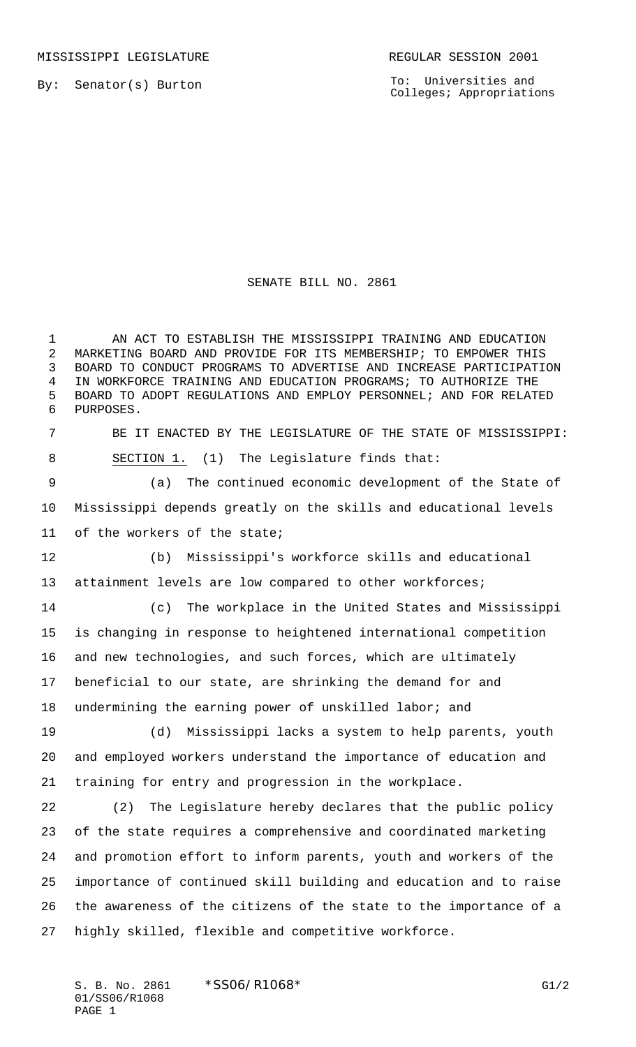To: Universities and Colleges; Appropriations

## SENATE BILL NO. 2861

 AN ACT TO ESTABLISH THE MISSISSIPPI TRAINING AND EDUCATION MARKETING BOARD AND PROVIDE FOR ITS MEMBERSHIP; TO EMPOWER THIS BOARD TO CONDUCT PROGRAMS TO ADVERTISE AND INCREASE PARTICIPATION IN WORKFORCE TRAINING AND EDUCATION PROGRAMS; TO AUTHORIZE THE BOARD TO ADOPT REGULATIONS AND EMPLOY PERSONNEL; AND FOR RELATED PURPOSES.

 BE IT ENACTED BY THE LEGISLATURE OF THE STATE OF MISSISSIPPI: 8 SECTION 1. (1) The Legislature finds that:

 (a) The continued economic development of the State of Mississippi depends greatly on the skills and educational levels of the workers of the state;

 (b) Mississippi's workforce skills and educational attainment levels are low compared to other workforces;

 (c) The workplace in the United States and Mississippi is changing in response to heightened international competition and new technologies, and such forces, which are ultimately beneficial to our state, are shrinking the demand for and undermining the earning power of unskilled labor; and

 (d) Mississippi lacks a system to help parents, youth and employed workers understand the importance of education and training for entry and progression in the workplace.

 (2) The Legislature hereby declares that the public policy of the state requires a comprehensive and coordinated marketing and promotion effort to inform parents, youth and workers of the importance of continued skill building and education and to raise the awareness of the citizens of the state to the importance of a highly skilled, flexible and competitive workforce.

S. B. No. 2861 \* SSO6/R1068\* G1/2 01/SS06/R1068 PAGE 1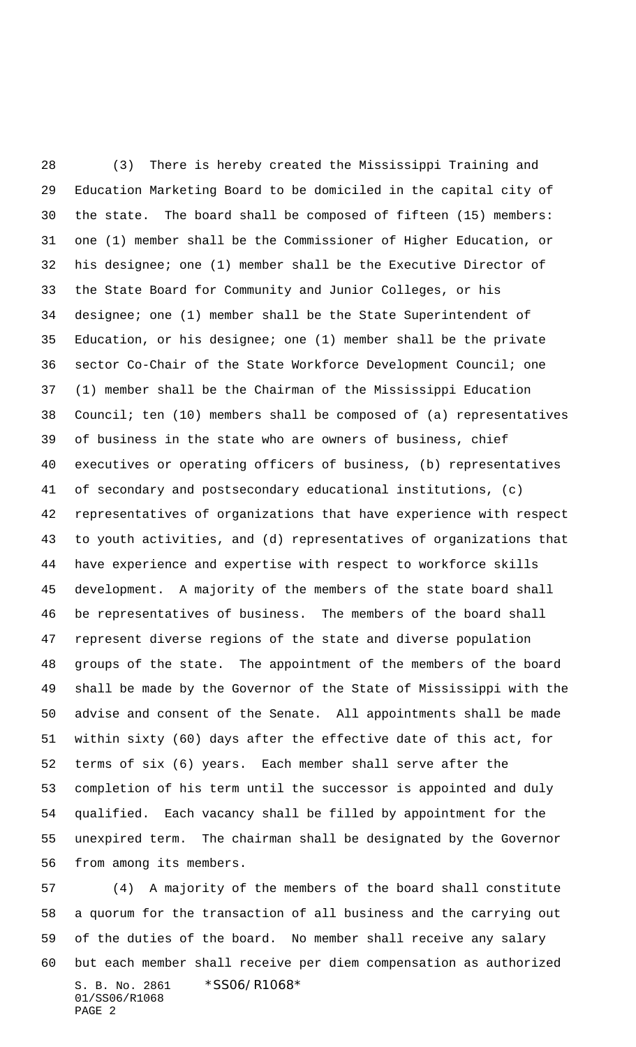(3) There is hereby created the Mississippi Training and Education Marketing Board to be domiciled in the capital city of the state. The board shall be composed of fifteen (15) members: one (1) member shall be the Commissioner of Higher Education, or his designee; one (1) member shall be the Executive Director of the State Board for Community and Junior Colleges, or his designee; one (1) member shall be the State Superintendent of Education, or his designee; one (1) member shall be the private sector Co-Chair of the State Workforce Development Council; one (1) member shall be the Chairman of the Mississippi Education Council; ten (10) members shall be composed of (a) representatives of business in the state who are owners of business, chief executives or operating officers of business, (b) representatives of secondary and postsecondary educational institutions, (c) representatives of organizations that have experience with respect to youth activities, and (d) representatives of organizations that have experience and expertise with respect to workforce skills development. A majority of the members of the state board shall be representatives of business. The members of the board shall represent diverse regions of the state and diverse population groups of the state. The appointment of the members of the board shall be made by the Governor of the State of Mississippi with the advise and consent of the Senate. All appointments shall be made within sixty (60) days after the effective date of this act, for terms of six (6) years. Each member shall serve after the completion of his term until the successor is appointed and duly qualified. Each vacancy shall be filled by appointment for the unexpired term. The chairman shall be designated by the Governor from among its members.

S. B. No. 2861 \*SS06/R1068\* 01/SS06/R1068 PAGE 2 (4) A majority of the members of the board shall constitute a quorum for the transaction of all business and the carrying out of the duties of the board. No member shall receive any salary but each member shall receive per diem compensation as authorized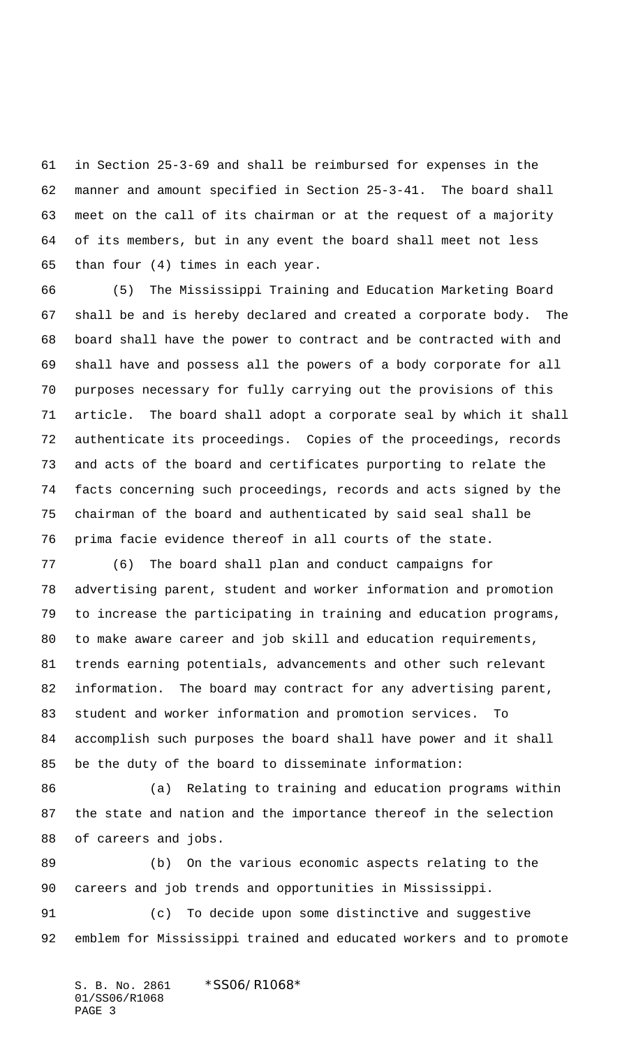in Section 25-3-69 and shall be reimbursed for expenses in the manner and amount specified in Section 25-3-41. The board shall meet on the call of its chairman or at the request of a majority of its members, but in any event the board shall meet not less than four (4) times in each year.

 (5) The Mississippi Training and Education Marketing Board shall be and is hereby declared and created a corporate body. The board shall have the power to contract and be contracted with and shall have and possess all the powers of a body corporate for all purposes necessary for fully carrying out the provisions of this article. The board shall adopt a corporate seal by which it shall authenticate its proceedings. Copies of the proceedings, records and acts of the board and certificates purporting to relate the facts concerning such proceedings, records and acts signed by the chairman of the board and authenticated by said seal shall be prima facie evidence thereof in all courts of the state.

 (6) The board shall plan and conduct campaigns for advertising parent, student and worker information and promotion to increase the participating in training and education programs, to make aware career and job skill and education requirements, trends earning potentials, advancements and other such relevant information. The board may contract for any advertising parent, student and worker information and promotion services. To accomplish such purposes the board shall have power and it shall be the duty of the board to disseminate information:

86 (a) Relating to training and education programs within the state and nation and the importance thereof in the selection of careers and jobs.

 (b) On the various economic aspects relating to the careers and job trends and opportunities in Mississippi.

 (c) To decide upon some distinctive and suggestive emblem for Mississippi trained and educated workers and to promote

S. B. No. 2861 \*SS06/R1068\* 01/SS06/R1068 PAGE 3